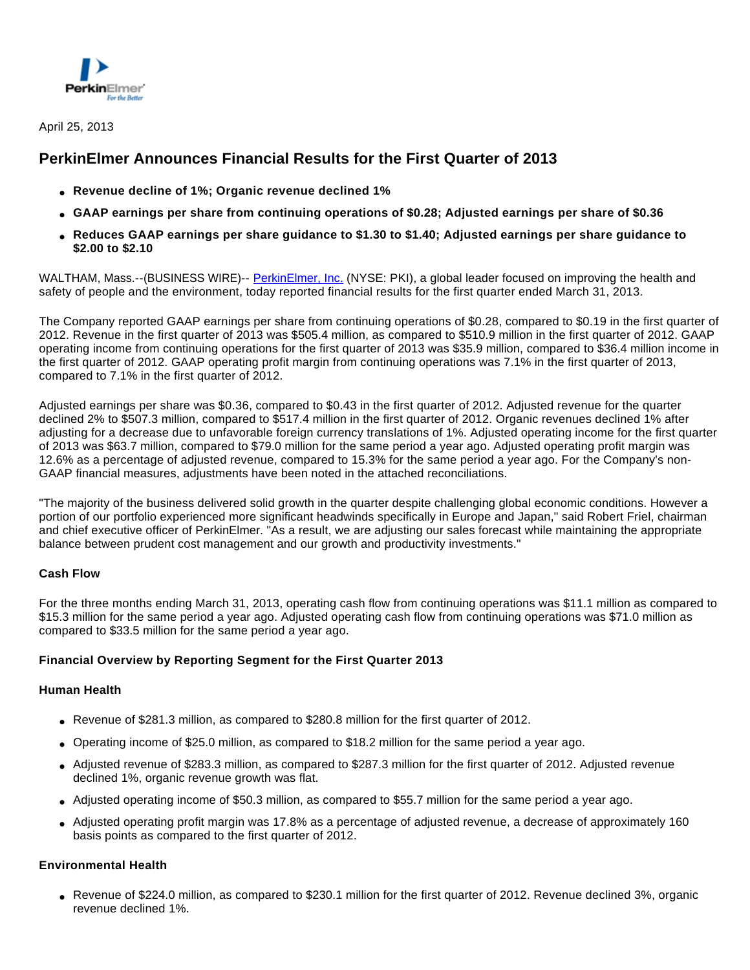

# **PerkinElmer Announces Financial Results for the First Quarter of 2013**

- **Revenue decline of 1%; Organic revenue declined 1%**
- **GAAP earnings per share from continuing operations of \$0.28; Adjusted earnings per share of \$0.36**
- **Reduces GAAP earnings per share guidance to \$1.30 to \$1.40; Adjusted earnings per share guidance to \$2.00 to \$2.10**

WALTHAM, Mass.--(BUSINESS WIRE)-- [PerkinElmer, Inc.](http://cts.businesswire.com/ct/CT?id=smartlink&url=http%3A%2F%2Fwww.perkinelmer.com%2F&esheet=50616586&lan=en-US&anchor=PerkinElmer%2C+Inc.&index=1&md5=77cc3c7c63ae87e82ac274e9656cb9f2) (NYSE: PKI), a global leader focused on improving the health and safety of people and the environment, today reported financial results for the first quarter ended March 31, 2013.

The Company reported GAAP earnings per share from continuing operations of \$0.28, compared to \$0.19 in the first quarter of 2012. Revenue in the first quarter of 2013 was \$505.4 million, as compared to \$510.9 million in the first quarter of 2012. GAAP operating income from continuing operations for the first quarter of 2013 was \$35.9 million, compared to \$36.4 million income in the first quarter of 2012. GAAP operating profit margin from continuing operations was 7.1% in the first quarter of 2013, compared to 7.1% in the first quarter of 2012.

Adjusted earnings per share was \$0.36, compared to \$0.43 in the first quarter of 2012. Adjusted revenue for the quarter declined 2% to \$507.3 million, compared to \$517.4 million in the first quarter of 2012. Organic revenues declined 1% after adjusting for a decrease due to unfavorable foreign currency translations of 1%. Adjusted operating income for the first quarter of 2013 was \$63.7 million, compared to \$79.0 million for the same period a year ago. Adjusted operating profit margin was 12.6% as a percentage of adjusted revenue, compared to 15.3% for the same period a year ago. For the Company's non-GAAP financial measures, adjustments have been noted in the attached reconciliations.

"The majority of the business delivered solid growth in the quarter despite challenging global economic conditions. However a portion of our portfolio experienced more significant headwinds specifically in Europe and Japan," said Robert Friel, chairman and chief executive officer of PerkinElmer. "As a result, we are adjusting our sales forecast while maintaining the appropriate balance between prudent cost management and our growth and productivity investments."

## **Cash Flow**

For the three months ending March 31, 2013, operating cash flow from continuing operations was \$11.1 million as compared to \$15.3 million for the same period a year ago. Adjusted operating cash flow from continuing operations was \$71.0 million as compared to \$33.5 million for the same period a year ago.

## **Financial Overview by Reporting Segment for the First Quarter 2013**

## **Human Health**

- Revenue of \$281.3 million, as compared to \$280.8 million for the first quarter of 2012.
- Operating income of \$25.0 million, as compared to \$18.2 million for the same period a year ago.
- Adjusted revenue of \$283.3 million, as compared to \$287.3 million for the first quarter of 2012. Adjusted revenue declined 1%, organic revenue growth was flat.
- Adjusted operating income of \$50.3 million, as compared to \$55.7 million for the same period a year ago.
- Adjusted operating profit margin was 17.8% as a percentage of adjusted revenue, a decrease of approximately 160 basis points as compared to the first quarter of 2012.

# **Environmental Health**

• Revenue of \$224.0 million, as compared to \$230.1 million for the first quarter of 2012. Revenue declined 3%, organic revenue declined 1%.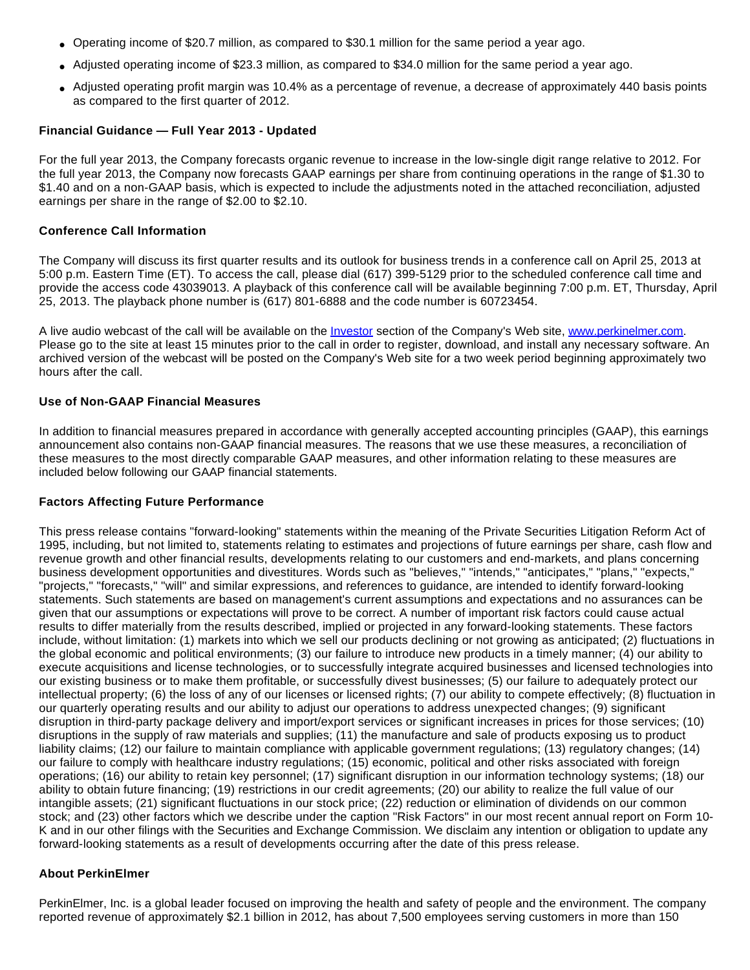- Operating income of \$20.7 million, as compared to \$30.1 million for the same period a year ago.
- Adjusted operating income of \$23.3 million, as compared to \$34.0 million for the same period a year ago.
- Adjusted operating profit margin was 10.4% as a percentage of revenue, a decrease of approximately 440 basis points as compared to the first quarter of 2012.

## **Financial Guidance — Full Year 2013 - Updated**

For the full year 2013, the Company forecasts organic revenue to increase in the low-single digit range relative to 2012. For the full year 2013, the Company now forecasts GAAP earnings per share from continuing operations in the range of \$1.30 to \$1.40 and on a non-GAAP basis, which is expected to include the adjustments noted in the attached reconciliation, adjusted earnings per share in the range of \$2.00 to \$2.10.

#### **Conference Call Information**

The Company will discuss its first quarter results and its outlook for business trends in a conference call on April 25, 2013 at 5:00 p.m. Eastern Time (ET). To access the call, please dial (617) 399-5129 prior to the scheduled conference call time and provide the access code 43039013. A playback of this conference call will be available beginning 7:00 p.m. ET, Thursday, April 25, 2013. The playback phone number is (617) 801-6888 and the code number is 60723454.

A live audio webcast of the call will be available on the [Investor](http://cts.businesswire.com/ct/CT?id=smartlink&url=http%3A%2F%2Fwww.perkinelmer.com%2Fourcompany%2Finvestors%2Fdefault.xhtml&esheet=50616586&lan=en-US&anchor=Investor&index=2&md5=41ceb31e22eb11659c05ce5b3ccba9d4) section of the Company's Web site, [www.perkinelmer.com.](http://cts.businesswire.com/ct/CT?id=smartlink&url=http%3A%2F%2Fwww.perkinelmer.com&esheet=50616586&lan=en-US&anchor=www.perkinelmer.com&index=3&md5=4b7024800cab3335aa2f0764aa82ff10) Please go to the site at least 15 minutes prior to the call in order to register, download, and install any necessary software. An archived version of the webcast will be posted on the Company's Web site for a two week period beginning approximately two hours after the call.

#### **Use of Non-GAAP Financial Measures**

In addition to financial measures prepared in accordance with generally accepted accounting principles (GAAP), this earnings announcement also contains non-GAAP financial measures. The reasons that we use these measures, a reconciliation of these measures to the most directly comparable GAAP measures, and other information relating to these measures are included below following our GAAP financial statements.

## **Factors Affecting Future Performance**

This press release contains "forward-looking" statements within the meaning of the Private Securities Litigation Reform Act of 1995, including, but not limited to, statements relating to estimates and projections of future earnings per share, cash flow and revenue growth and other financial results, developments relating to our customers and end-markets, and plans concerning business development opportunities and divestitures. Words such as "believes," "intends," "anticipates," "plans," "expects," "projects," "forecasts," "will" and similar expressions, and references to guidance, are intended to identify forward-looking statements. Such statements are based on management's current assumptions and expectations and no assurances can be given that our assumptions or expectations will prove to be correct. A number of important risk factors could cause actual results to differ materially from the results described, implied or projected in any forward-looking statements. These factors include, without limitation: (1) markets into which we sell our products declining or not growing as anticipated; (2) fluctuations in the global economic and political environments; (3) our failure to introduce new products in a timely manner; (4) our ability to execute acquisitions and license technologies, or to successfully integrate acquired businesses and licensed technologies into our existing business or to make them profitable, or successfully divest businesses; (5) our failure to adequately protect our intellectual property; (6) the loss of any of our licenses or licensed rights; (7) our ability to compete effectively; (8) fluctuation in our quarterly operating results and our ability to adjust our operations to address unexpected changes; (9) significant disruption in third-party package delivery and import/export services or significant increases in prices for those services; (10) disruptions in the supply of raw materials and supplies; (11) the manufacture and sale of products exposing us to product liability claims; (12) our failure to maintain compliance with applicable government regulations; (13) regulatory changes; (14) our failure to comply with healthcare industry regulations; (15) economic, political and other risks associated with foreign operations; (16) our ability to retain key personnel; (17) significant disruption in our information technology systems; (18) our ability to obtain future financing; (19) restrictions in our credit agreements; (20) our ability to realize the full value of our intangible assets; (21) significant fluctuations in our stock price; (22) reduction or elimination of dividends on our common stock; and (23) other factors which we describe under the caption "Risk Factors" in our most recent annual report on Form 10- K and in our other filings with the Securities and Exchange Commission. We disclaim any intention or obligation to update any forward-looking statements as a result of developments occurring after the date of this press release.

## **About PerkinElmer**

PerkinElmer, Inc. is a global leader focused on improving the health and safety of people and the environment. The company reported revenue of approximately \$2.1 billion in 2012, has about 7,500 employees serving customers in more than 150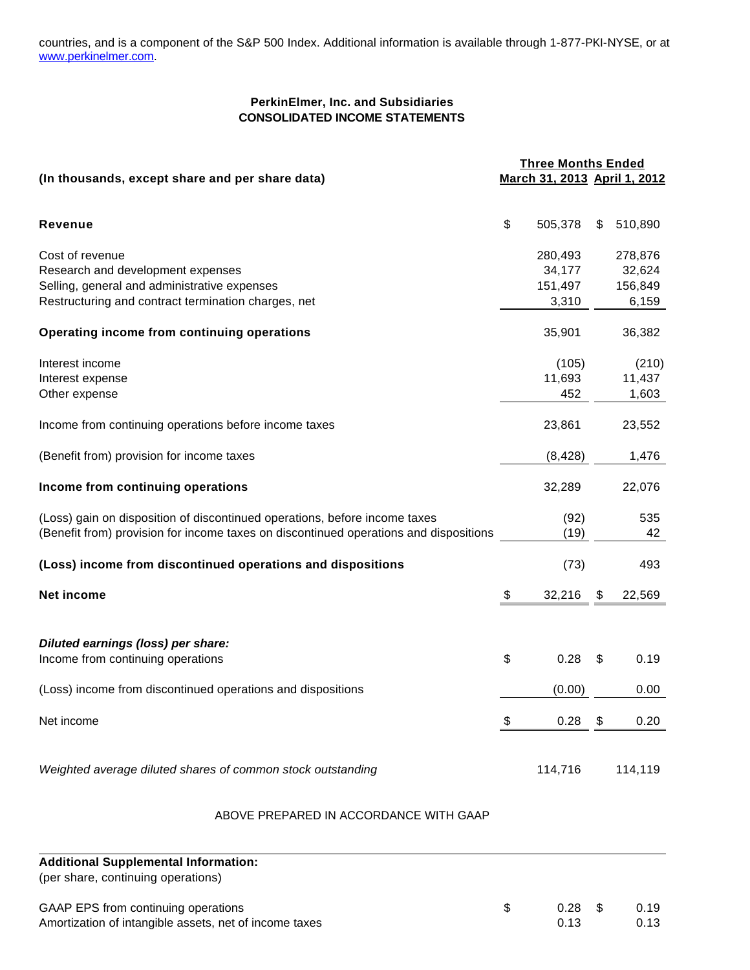countries, and is a component of the S&P 500 Index. Additional information is available through 1-877-PKI-NYSE, or at [www.perkinelmer.com.](http://cts.businesswire.com/ct/CT?id=smartlink&url=http%3A%2F%2Fwww.perkinelmer.com&esheet=50616586&lan=en-US&anchor=www.perkinelmer.com&index=4&md5=063eab7e9f2c7888900cd456347c71ff)

# **PerkinElmer, Inc. and Subsidiaries CONSOLIDATED INCOME STATEMENTS**

| (In thousands, except share and per share data)                                               | <b>Three Months Ended</b><br>March 31, 2013 April 1, 2012 |              |    |              |  |  |  |
|-----------------------------------------------------------------------------------------------|-----------------------------------------------------------|--------------|----|--------------|--|--|--|
| <b>Revenue</b>                                                                                | \$                                                        | 505,378      | \$ | 510,890      |  |  |  |
| Cost of revenue                                                                               |                                                           | 280,493      |    | 278,876      |  |  |  |
| Research and development expenses                                                             |                                                           | 34,177       |    | 32,624       |  |  |  |
| Selling, general and administrative expenses                                                  |                                                           | 151,497      |    | 156,849      |  |  |  |
| Restructuring and contract termination charges, net                                           |                                                           | 3,310        |    | 6,159        |  |  |  |
| Operating income from continuing operations                                                   |                                                           | 35,901       |    | 36,382       |  |  |  |
| Interest income                                                                               |                                                           | (105)        |    | (210)        |  |  |  |
| Interest expense                                                                              |                                                           | 11,693       |    | 11,437       |  |  |  |
| Other expense                                                                                 |                                                           | 452          |    | 1,603        |  |  |  |
| Income from continuing operations before income taxes                                         |                                                           | 23,861       |    | 23,552       |  |  |  |
| (Benefit from) provision for income taxes                                                     |                                                           | (8, 428)     |    | 1,476        |  |  |  |
| Income from continuing operations                                                             |                                                           | 32,289       |    | 22,076       |  |  |  |
| (Loss) gain on disposition of discontinued operations, before income taxes                    |                                                           | (92)         |    | 535          |  |  |  |
| (Benefit from) provision for income taxes on discontinued operations and dispositions         |                                                           | (19)         |    | 42           |  |  |  |
| (Loss) income from discontinued operations and dispositions                                   |                                                           | (73)         |    | 493          |  |  |  |
| Net income                                                                                    | \$.                                                       | 32,216       | \$ | 22,569       |  |  |  |
| Diluted earnings (loss) per share:<br>Income from continuing operations                       | \$                                                        | 0.28         | \$ | 0.19         |  |  |  |
| (Loss) income from discontinued operations and dispositions                                   |                                                           | (0.00)       |    | 0.00         |  |  |  |
| Net income                                                                                    | P                                                         | 0.28         | S  | 0.20         |  |  |  |
| Weighted average diluted shares of common stock outstanding                                   |                                                           | 114,716      |    | 114,119      |  |  |  |
| ABOVE PREPARED IN ACCORDANCE WITH GAAP                                                        |                                                           |              |    |              |  |  |  |
| <b>Additional Supplemental Information:</b><br>(per share, continuing operations)             |                                                           |              |    |              |  |  |  |
|                                                                                               |                                                           |              |    |              |  |  |  |
| GAAP EPS from continuing operations<br>Amortization of intangible assets, net of income taxes | \$                                                        | 0.28<br>0.13 | \$ | 0.19<br>0.13 |  |  |  |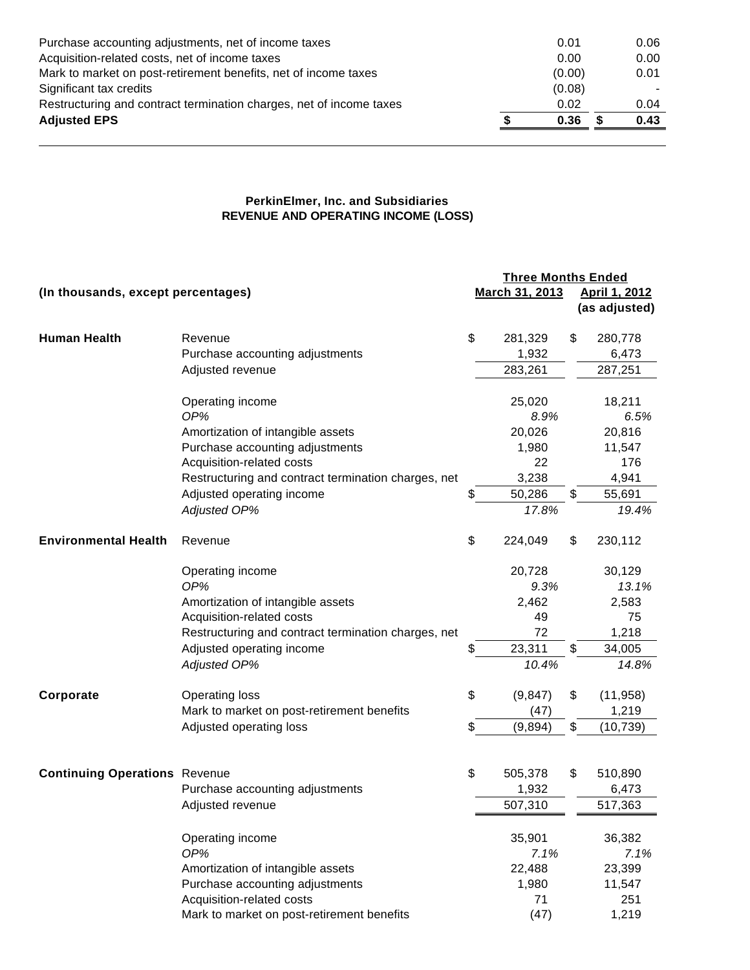| <b>Adjusted EPS</b>                                                 | 0.36   | 0.43 |
|---------------------------------------------------------------------|--------|------|
| Restructuring and contract termination charges, net of income taxes | 0.02   | 0.04 |
| Significant tax credits                                             | (0.08) |      |
| Mark to market on post-retirement benefits, net of income taxes     | (0.00) | 0.01 |
| Acquisition-related costs, net of income taxes                      | 0.00   | 0.00 |
| Purchase accounting adjustments, net of income taxes                | 0.01   | 0.06 |

# **PerkinElmer, Inc. and Subsidiaries REVENUE AND OPERATING INCOME (LOSS)**

|                                      | <b>Three Months Ended</b>                           |    |                |               |               |  |  |  |  |
|--------------------------------------|-----------------------------------------------------|----|----------------|---------------|---------------|--|--|--|--|
| (In thousands, except percentages)   |                                                     |    | March 31, 2013 | April 1, 2012 |               |  |  |  |  |
|                                      |                                                     |    |                |               | (as adjusted) |  |  |  |  |
| <b>Human Health</b>                  | Revenue                                             | \$ | 281,329        | \$            | 280,778       |  |  |  |  |
|                                      | Purchase accounting adjustments                     |    | 1,932          |               | 6,473         |  |  |  |  |
|                                      | Adjusted revenue                                    |    | 283,261        |               | 287,251       |  |  |  |  |
|                                      | Operating income                                    |    | 25,020         |               | 18,211        |  |  |  |  |
|                                      | OP%                                                 |    | 8.9%           |               | 6.5%          |  |  |  |  |
|                                      | Amortization of intangible assets                   |    | 20,026         |               | 20,816        |  |  |  |  |
|                                      | Purchase accounting adjustments                     |    | 1,980          |               | 11,547        |  |  |  |  |
|                                      | Acquisition-related costs                           |    | 22             |               | 176           |  |  |  |  |
|                                      | Restructuring and contract termination charges, net |    | 3,238          |               | 4,941         |  |  |  |  |
|                                      | Adjusted operating income                           | \$ | 50,286         | \$            | 55,691        |  |  |  |  |
|                                      | Adjusted OP%                                        |    | 17.8%          |               | 19.4%         |  |  |  |  |
| <b>Environmental Health</b>          | Revenue                                             | \$ | 224,049        | \$            | 230,112       |  |  |  |  |
|                                      | Operating income                                    |    | 20,728         |               | 30,129        |  |  |  |  |
|                                      | OP%                                                 |    | 9.3%           |               | 13.1%         |  |  |  |  |
|                                      | Amortization of intangible assets                   |    | 2,462          |               | 2,583         |  |  |  |  |
|                                      | Acquisition-related costs                           |    | 49             |               | 75            |  |  |  |  |
|                                      | Restructuring and contract termination charges, net |    | 72             |               | 1,218         |  |  |  |  |
|                                      | Adjusted operating income                           | \$ | 23,311         | \$            | 34,005        |  |  |  |  |
|                                      | Adjusted OP%                                        |    | 10.4%          |               | 14.8%         |  |  |  |  |
| Corporate                            | <b>Operating loss</b>                               | \$ | (9, 847)       | \$            | (11, 958)     |  |  |  |  |
|                                      | Mark to market on post-retirement benefits          |    | (47)           |               | 1,219         |  |  |  |  |
|                                      | Adjusted operating loss                             | \$ | (9,894)        | \$            | (10, 739)     |  |  |  |  |
|                                      |                                                     |    |                |               |               |  |  |  |  |
| <b>Continuing Operations Revenue</b> |                                                     | \$ | 505,378        | \$            | 510,890       |  |  |  |  |
|                                      | Purchase accounting adjustments                     |    | 1,932          |               | 6,473         |  |  |  |  |
|                                      | Adjusted revenue                                    |    | 507,310        |               | 517,363       |  |  |  |  |
|                                      | Operating income                                    |    | 35,901         |               | 36,382        |  |  |  |  |
|                                      | OP%                                                 |    | 7.1%           |               | 7.1%          |  |  |  |  |
|                                      | Amortization of intangible assets                   |    | 22,488         |               | 23,399        |  |  |  |  |
|                                      | Purchase accounting adjustments                     |    | 1,980          |               | 11,547        |  |  |  |  |
|                                      | Acquisition-related costs                           |    | 71             |               | 251           |  |  |  |  |
|                                      | Mark to market on post-retirement benefits          |    | (47)           |               | 1,219         |  |  |  |  |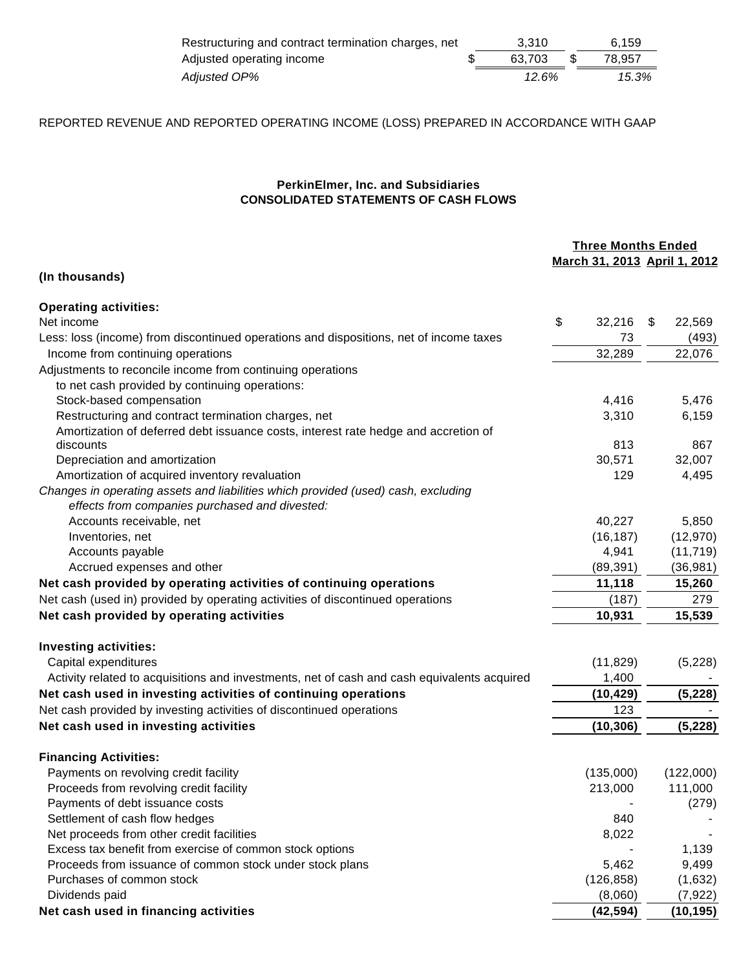| Restructuring and contract termination charges, net | 3.310  |      | 6.159  |
|-----------------------------------------------------|--------|------|--------|
| Adjusted operating income                           | 63.703 | - \$ | 78.957 |
| Adjusted OP%                                        | 12.6%  |      | 15.3%  |

# REPORTED REVENUE AND REPORTED OPERATING INCOME (LOSS) PREPARED IN ACCORDANCE WITH GAAP

# **PerkinElmer, Inc. and Subsidiaries CONSOLIDATED STATEMENTS OF CASH FLOWS**

|                                                                                             | <b>Three Months Ended</b> |                              |   |           |  |  |
|---------------------------------------------------------------------------------------------|---------------------------|------------------------------|---|-----------|--|--|
|                                                                                             |                           | March 31, 2013 April 1, 2012 |   |           |  |  |
| (In thousands)                                                                              |                           |                              |   |           |  |  |
| <b>Operating activities:</b>                                                                |                           |                              |   |           |  |  |
| Net income                                                                                  | \$                        | 32,216                       | S | 22,569    |  |  |
| Less: loss (income) from discontinued operations and dispositions, net of income taxes      |                           | 73                           |   | (493)     |  |  |
| Income from continuing operations                                                           |                           | 32,289                       |   | 22,076    |  |  |
| Adjustments to reconcile income from continuing operations                                  |                           |                              |   |           |  |  |
| to net cash provided by continuing operations:                                              |                           |                              |   |           |  |  |
| Stock-based compensation                                                                    |                           | 4,416                        |   | 5,476     |  |  |
| Restructuring and contract termination charges, net                                         |                           | 3,310                        |   | 6,159     |  |  |
| Amortization of deferred debt issuance costs, interest rate hedge and accretion of          |                           |                              |   |           |  |  |
| discounts                                                                                   |                           | 813                          |   | 867       |  |  |
| Depreciation and amortization                                                               |                           | 30,571                       |   | 32,007    |  |  |
| Amortization of acquired inventory revaluation                                              |                           | 129                          |   | 4,495     |  |  |
| Changes in operating assets and liabilities which provided (used) cash, excluding           |                           |                              |   |           |  |  |
| effects from companies purchased and divested:                                              |                           |                              |   |           |  |  |
| Accounts receivable, net                                                                    |                           | 40,227                       |   | 5,850     |  |  |
| Inventories, net                                                                            |                           | (16, 187)                    |   | (12, 970) |  |  |
| Accounts payable                                                                            |                           | 4,941                        |   | (11, 719) |  |  |
| Accrued expenses and other                                                                  |                           | (89, 391)                    |   | (36, 981) |  |  |
| Net cash provided by operating activities of continuing operations                          |                           | 11,118                       |   | 15,260    |  |  |
| Net cash (used in) provided by operating activities of discontinued operations              |                           | (187)                        |   | 279       |  |  |
| Net cash provided by operating activities                                                   |                           | 10,931                       |   | 15,539    |  |  |
| <b>Investing activities:</b>                                                                |                           |                              |   |           |  |  |
| Capital expenditures                                                                        |                           | (11, 829)                    |   | (5, 228)  |  |  |
| Activity related to acquisitions and investments, net of cash and cash equivalents acquired |                           | 1,400                        |   |           |  |  |
| Net cash used in investing activities of continuing operations                              |                           | (10, 429)                    |   | (5, 228)  |  |  |
| Net cash provided by investing activities of discontinued operations                        |                           | 123                          |   |           |  |  |
| Net cash used in investing activities                                                       |                           | (10, 306)                    |   | (5, 228)  |  |  |
|                                                                                             |                           |                              |   |           |  |  |
| <b>Financing Activities:</b>                                                                |                           |                              |   |           |  |  |
| Payments on revolving credit facility                                                       |                           | (135,000)                    |   | (122,000) |  |  |
| Proceeds from revolving credit facility                                                     |                           | 213,000                      |   | 111,000   |  |  |
| Payments of debt issuance costs                                                             |                           |                              |   | (279)     |  |  |
| Settlement of cash flow hedges                                                              |                           | 840                          |   |           |  |  |
| Net proceeds from other credit facilities                                                   |                           | 8,022                        |   |           |  |  |
| Excess tax benefit from exercise of common stock options                                    |                           |                              |   | 1,139     |  |  |
| Proceeds from issuance of common stock under stock plans                                    |                           | 5,462                        |   | 9,499     |  |  |
| Purchases of common stock                                                                   |                           | (126, 858)                   |   | (1,632)   |  |  |
| Dividends paid                                                                              |                           | (8,060)                      |   | (7, 922)  |  |  |
| Net cash used in financing activities                                                       |                           | (42, 594)                    |   | (10, 195) |  |  |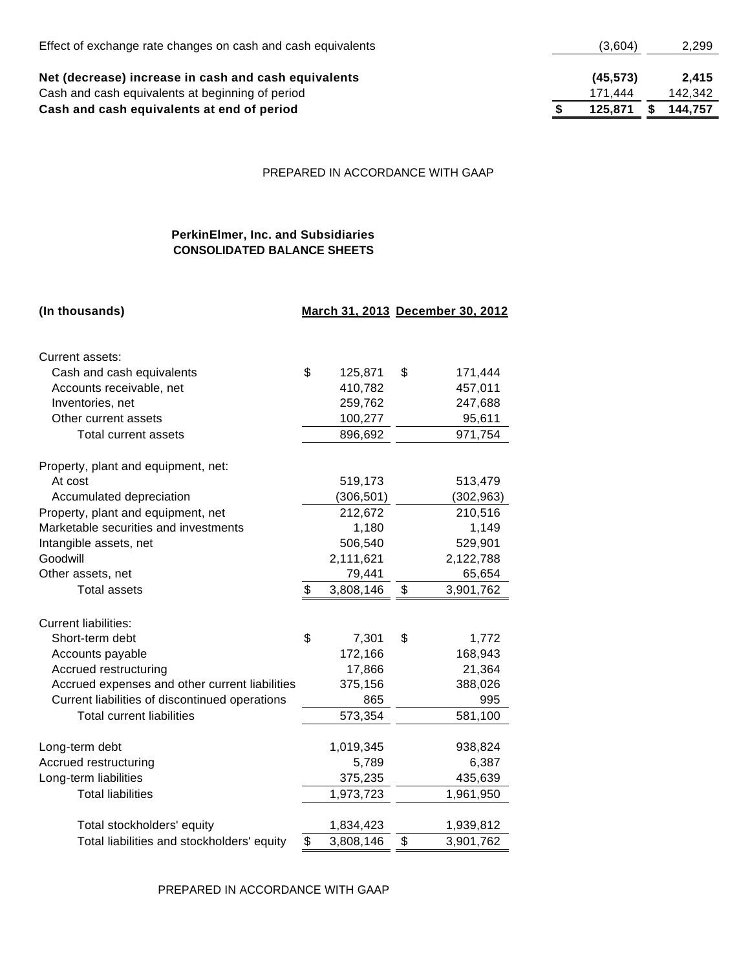| Effect of exchange rate changes on cash and cash equivalents | (3.604)  | 2,299   |
|--------------------------------------------------------------|----------|---------|
|                                                              |          |         |
| Net (decrease) increase in cash and cash equivalents         | (45.573) | 2.415   |
| Cash and cash equivalents at beginning of period             | 171.444  | 142.342 |
| Cash and cash equivalents at end of period                   | 125.871  | 144.757 |

# PREPARED IN ACCORDANCE WITH GAAP

# **PerkinElmer, Inc. and Subsidiaries CONSOLIDATED BALANCE SHEETS**

| (In thousands)                                 |                 | March 31, 2013 December 30, 2012 |
|------------------------------------------------|-----------------|----------------------------------|
| Current assets:                                |                 |                                  |
| Cash and cash equivalents                      | \$<br>125,871   | \$<br>171,444                    |
| Accounts receivable, net                       | 410,782         | 457,011                          |
| Inventories, net                               | 259,762         | 247,688                          |
| Other current assets                           | 100,277         | 95,611                           |
| Total current assets                           | 896,692         | 971,754                          |
| Property, plant and equipment, net:            |                 |                                  |
| At cost                                        | 519,173         | 513,479                          |
| Accumulated depreciation                       | (306, 501)      | (302, 963)                       |
| Property, plant and equipment, net             | 212,672         | 210,516                          |
| Marketable securities and investments          | 1,180           | 1,149                            |
| Intangible assets, net                         | 506,540         | 529,901                          |
| Goodwill                                       | 2,111,621       | 2,122,788                        |
| Other assets, net                              | 79,441          | 65,654                           |
| <b>Total assets</b>                            | \$<br>3,808,146 | \$<br>3,901,762                  |
| <b>Current liabilities:</b>                    |                 |                                  |
| Short-term debt                                | \$<br>7,301     | \$<br>1,772                      |
| Accounts payable                               | 172,166         | 168,943                          |
| Accrued restructuring                          | 17,866          | 21,364                           |
| Accrued expenses and other current liabilities | 375,156         | 388,026                          |
| Current liabilities of discontinued operations | 865             | 995                              |
| <b>Total current liabilities</b>               | 573,354         | 581,100                          |
|                                                |                 |                                  |
| Long-term debt                                 | 1,019,345       | 938,824                          |
| Accrued restructuring                          | 5,789           | 6,387                            |
| Long-term liabilities                          | 375,235         | 435,639                          |
| <b>Total liabilities</b>                       | 1,973,723       | 1,961,950                        |
|                                                |                 |                                  |
| Total stockholders' equity                     | 1,834,423       | 1,939,812                        |
| Total liabilities and stockholders' equity     | \$<br>3,808,146 | \$<br>3,901,762                  |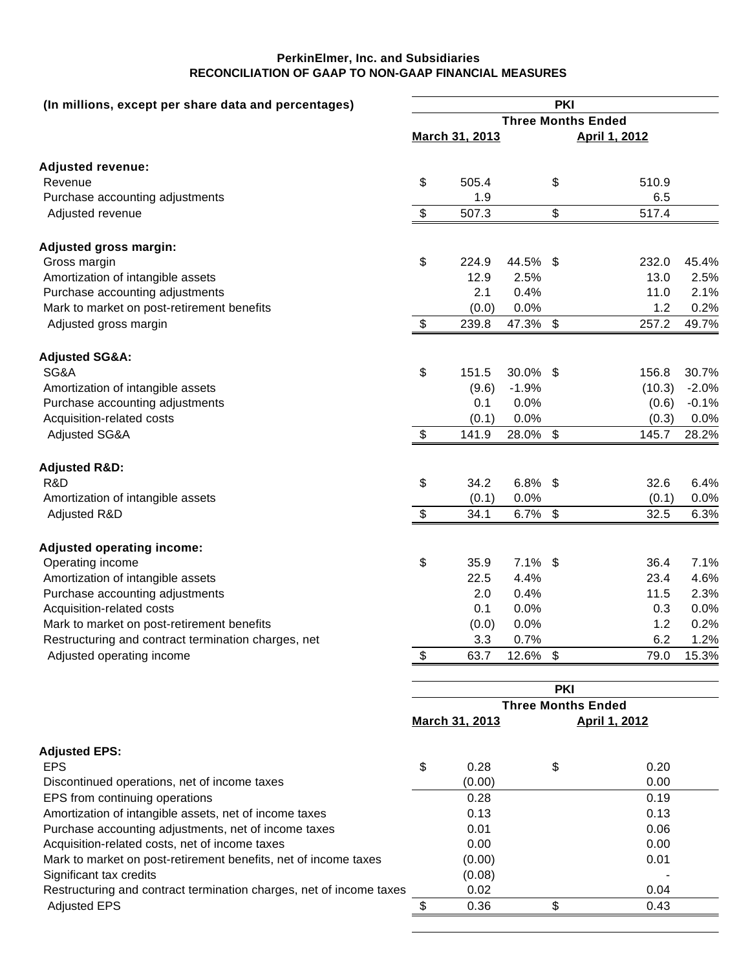## **PerkinElmer, Inc. and Subsidiaries RECONCILIATION OF GAAP TO NON-GAAP FINANCIAL MEASURES**

| (In millions, except per share data and percentages)                | <b>PKI</b>                 |                |            |                         |                           |         |  |  |  |
|---------------------------------------------------------------------|----------------------------|----------------|------------|-------------------------|---------------------------|---------|--|--|--|
|                                                                     | <b>Three Months Ended</b>  |                |            |                         |                           |         |  |  |  |
|                                                                     |                            | March 31, 2013 |            |                         | <b>April 1, 2012</b>      |         |  |  |  |
| <b>Adjusted revenue:</b>                                            |                            |                |            |                         |                           |         |  |  |  |
| Revenue                                                             | \$                         | 505.4          |            | \$                      | 510.9                     |         |  |  |  |
| Purchase accounting adjustments                                     |                            | 1.9            |            |                         | 6.5                       |         |  |  |  |
| Adjusted revenue                                                    | \$                         | 507.3          |            | \$                      | 517.4                     |         |  |  |  |
| Adjusted gross margin:                                              |                            |                |            |                         |                           |         |  |  |  |
| Gross margin                                                        | \$                         | 224.9          | 44.5% \$   |                         | 232.0                     | 45.4%   |  |  |  |
| Amortization of intangible assets                                   |                            | 12.9           | 2.5%       |                         | 13.0                      | 2.5%    |  |  |  |
| Purchase accounting adjustments                                     |                            | 2.1            | 0.4%       |                         | 11.0                      | 2.1%    |  |  |  |
| Mark to market on post-retirement benefits                          |                            | (0.0)          | 0.0%       |                         | 1.2                       | 0.2%    |  |  |  |
| Adjusted gross margin                                               | $\boldsymbol{\mathsf{\$}}$ | 239.8          | 47.3% \$   |                         | 257.2                     | 49.7%   |  |  |  |
| <b>Adjusted SG&amp;A:</b>                                           |                            |                |            |                         |                           |         |  |  |  |
| SG&A                                                                | \$                         | 151.5          | 30.0% \$   |                         | 156.8                     | 30.7%   |  |  |  |
| Amortization of intangible assets                                   |                            | (9.6)          | $-1.9%$    |                         | (10.3)                    | $-2.0%$ |  |  |  |
| Purchase accounting adjustments                                     |                            | 0.1            | 0.0%       |                         | (0.6)                     | $-0.1%$ |  |  |  |
| Acquisition-related costs                                           |                            | (0.1)          | 0.0%       |                         | (0.3)                     | 0.0%    |  |  |  |
| Adjusted SG&A                                                       | \$                         | 141.9          | 28.0% \$   |                         | 145.7                     | 28.2%   |  |  |  |
| <b>Adjusted R&amp;D:</b>                                            |                            |                |            |                         |                           |         |  |  |  |
| R&D                                                                 | \$                         | 34.2           | $6.8\%$ \$ |                         | 32.6                      | 6.4%    |  |  |  |
| Amortization of intangible assets                                   |                            | (0.1)          | 0.0%       |                         | (0.1)                     | 0.0%    |  |  |  |
| Adjusted R&D                                                        | $\boldsymbol{\$}$          | 34.1           | 6.7%       | $\sqrt[6]{\frac{1}{2}}$ | 32.5                      | 6.3%    |  |  |  |
|                                                                     |                            |                |            |                         |                           |         |  |  |  |
| <b>Adjusted operating income:</b>                                   |                            |                |            |                         |                           |         |  |  |  |
| Operating income                                                    | \$                         | 35.9           | $7.1\%$ \$ |                         | 36.4                      | 7.1%    |  |  |  |
| Amortization of intangible assets                                   |                            | 22.5           | 4.4%       |                         | 23.4                      | 4.6%    |  |  |  |
| Purchase accounting adjustments                                     |                            | 2.0            | 0.4%       |                         | 11.5                      | 2.3%    |  |  |  |
| Acquisition-related costs                                           |                            | 0.1            | 0.0%       |                         | 0.3                       | 0.0%    |  |  |  |
| Mark to market on post-retirement benefits                          |                            | (0.0)          | 0.0%       |                         | 1.2                       | 0.2%    |  |  |  |
| Restructuring and contract termination charges, net                 |                            | 3.3            | 0.7%       |                         | 6.2                       | 1.2%    |  |  |  |
| Adjusted operating income                                           | \$                         | 63.7           | 12.6%      | $\mathfrak{S}$          | 79.0                      | 15.3%   |  |  |  |
|                                                                     |                            |                |            | <b>PKI</b>              |                           |         |  |  |  |
|                                                                     |                            |                |            |                         | <b>Three Months Ended</b> |         |  |  |  |
|                                                                     |                            | March 31, 2013 |            |                         | April 1, 2012             |         |  |  |  |
| <b>Adjusted EPS:</b>                                                |                            |                |            |                         |                           |         |  |  |  |
| <b>EPS</b>                                                          | \$                         | 0.28           |            | \$                      | 0.20                      |         |  |  |  |
| Discontinued operations, net of income taxes                        |                            | (0.00)         |            |                         | 0.00                      |         |  |  |  |
| EPS from continuing operations                                      |                            | 0.28           |            |                         | 0.19                      |         |  |  |  |
| Amortization of intangible assets, net of income taxes              |                            | 0.13           |            |                         | 0.13                      |         |  |  |  |
| Purchase accounting adjustments, net of income taxes                |                            | 0.01           |            |                         | 0.06                      |         |  |  |  |
| Acquisition-related costs, net of income taxes                      |                            | 0.00           |            |                         | 0.00                      |         |  |  |  |
| Mark to market on post-retirement benefits, net of income taxes     |                            | (0.00)         |            |                         | 0.01                      |         |  |  |  |
| Significant tax credits                                             |                            | (0.08)         |            |                         |                           |         |  |  |  |
| Restructuring and contract termination charges, net of income taxes |                            | 0.02           |            |                         | 0.04                      |         |  |  |  |
| <b>Adjusted EPS</b>                                                 | \$                         | 0.36           |            | \$                      | 0.43                      |         |  |  |  |
|                                                                     |                            |                |            |                         |                           |         |  |  |  |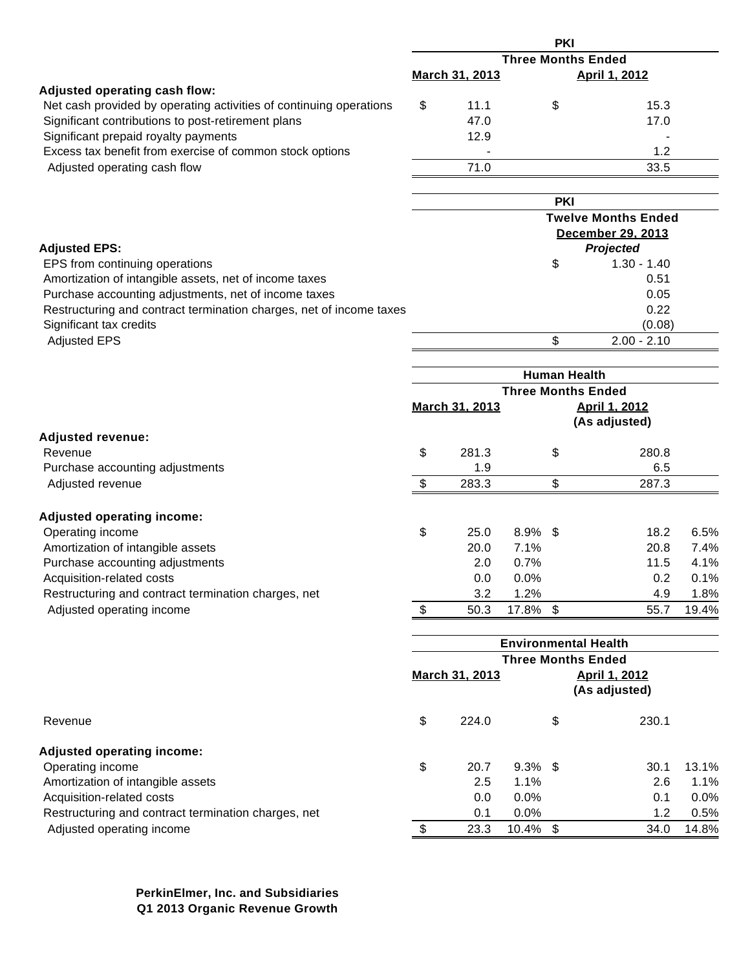|                                                                    | <b>PKI</b>                |                       |   |               |  |  |  |
|--------------------------------------------------------------------|---------------------------|-----------------------|---|---------------|--|--|--|
|                                                                    | <b>Three Months Ended</b> |                       |   |               |  |  |  |
|                                                                    |                           | <b>March 31, 2013</b> |   | April 1, 2012 |  |  |  |
| Adjusted operating cash flow:                                      |                           |                       |   |               |  |  |  |
| Net cash provided by operating activities of continuing operations | \$                        | 11.1                  | S | 15.3          |  |  |  |
| Significant contributions to post-retirement plans                 |                           | 47.0                  |   | 17.0          |  |  |  |
| Significant prepaid royalty payments                               |                           | 12.9                  |   |               |  |  |  |
| Excess tax benefit from exercise of common stock options           |                           |                       |   | 1.2           |  |  |  |
| Adjusted operating cash flow                                       |                           | 71.0                  |   | 33.5          |  |  |  |
|                                                                    |                           |                       |   |               |  |  |  |

|                                                                     | <b>PKI</b>                 |                          |  |  |  |  |  |
|---------------------------------------------------------------------|----------------------------|--------------------------|--|--|--|--|--|
|                                                                     | <b>Twelve Months Ended</b> |                          |  |  |  |  |  |
|                                                                     |                            | <b>December 29, 2013</b> |  |  |  |  |  |
| <b>Adjusted EPS:</b>                                                |                            | Projected                |  |  |  |  |  |
| EPS from continuing operations                                      | \$                         | $1.30 - 1.40$            |  |  |  |  |  |
| Amortization of intangible assets, net of income taxes              |                            | 0.51                     |  |  |  |  |  |
| Purchase accounting adjustments, net of income taxes                |                            | 0.05                     |  |  |  |  |  |
| Restructuring and contract termination charges, net of income taxes |                            | 0.22                     |  |  |  |  |  |
| Significant tax credits                                             |                            | (0.08)                   |  |  |  |  |  |
| <b>Adjusted EPS</b>                                                 |                            | $2.00 - 2.10$            |  |  |  |  |  |

|                                                     | <b>Human Health</b> |                |            |    |                                       |       |  |  |  |
|-----------------------------------------------------|---------------------|----------------|------------|----|---------------------------------------|-------|--|--|--|
|                                                     |                     |                |            |    | <b>Three Months Ended</b>             |       |  |  |  |
|                                                     |                     | March 31, 2013 |            |    | <b>April 1, 2012</b><br>(As adjusted) |       |  |  |  |
| <b>Adjusted revenue:</b>                            |                     |                |            |    |                                       |       |  |  |  |
| Revenue                                             | \$                  | 281.3          |            | \$ | 280.8                                 |       |  |  |  |
| Purchase accounting adjustments                     |                     | 1.9            |            |    | 6.5                                   |       |  |  |  |
| Adjusted revenue                                    | \$                  | 283.3          |            | \$ | 287.3                                 |       |  |  |  |
| <b>Adjusted operating income:</b>                   |                     |                |            |    |                                       |       |  |  |  |
| Operating income                                    | \$                  | 25.0           | $8.9\%$ \$ |    | 18.2                                  | 6.5%  |  |  |  |
| Amortization of intangible assets                   |                     | 20.0           | 7.1%       |    | 20.8                                  | 7.4%  |  |  |  |
| Purchase accounting adjustments                     |                     | 2.0            | 0.7%       |    | 11.5                                  | 4.1%  |  |  |  |
| Acquisition-related costs                           |                     | 0.0            | 0.0%       |    | 0.2                                   | 0.1%  |  |  |  |
| Restructuring and contract termination charges, net |                     | 3.2            | 1.2%       |    | 4.9                                   | 1.8%  |  |  |  |
| Adjusted operating income                           | \$                  | 50.3           | 17.8% \$   |    | 55.7                                  | 19.4% |  |  |  |

|                                                     | <b>Environmental Health</b> |       |            |                                |       |         |  |  |  |  |
|-----------------------------------------------------|-----------------------------|-------|------------|--------------------------------|-------|---------|--|--|--|--|
|                                                     | <b>Three Months Ended</b>   |       |            |                                |       |         |  |  |  |  |
| Revenue                                             | March 31, 2013              |       |            | April 1, 2012<br>(As adjusted) |       |         |  |  |  |  |
|                                                     | \$                          | 224.0 |            | \$                             | 230.1 |         |  |  |  |  |
| <b>Adjusted operating income:</b>                   |                             |       |            |                                |       |         |  |  |  |  |
| Operating income                                    | \$                          | 20.7  | $9.3\%$ \$ |                                | 30.1  | 13.1%   |  |  |  |  |
| Amortization of intangible assets                   |                             | 2.5   | 1.1%       |                                | 2.6   | $1.1\%$ |  |  |  |  |
| Acquisition-related costs                           |                             | 0.0   | 0.0%       |                                | 0.1   | $0.0\%$ |  |  |  |  |
| Restructuring and contract termination charges, net |                             | 0.1   | 0.0%       |                                | 1.2   | 0.5%    |  |  |  |  |
| Adjusted operating income                           | \$                          | 23.3  | 10.4%      | - \$                           | 34.0  | 14.8%   |  |  |  |  |

**PerkinElmer, Inc. and Subsidiaries Q1 2013 Organic Revenue Growth**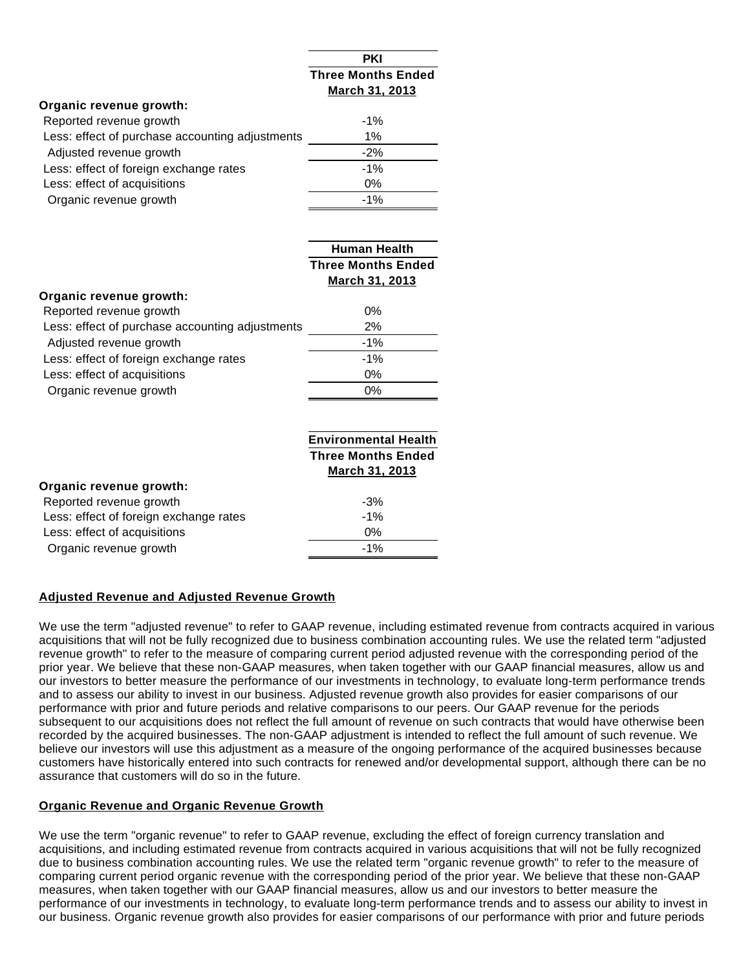|                                                 | <b>PKI</b>                  |
|-------------------------------------------------|-----------------------------|
|                                                 | <b>Three Months Ended</b>   |
|                                                 | <b>March 31, 2013</b>       |
| Organic revenue growth:                         |                             |
| Reported revenue growth                         | $-1%$                       |
| Less: effect of purchase accounting adjustments | 1%                          |
| Adjusted revenue growth                         | $-2%$                       |
| Less: effect of foreign exchange rates          | $-1%$                       |
| Less: effect of acquisitions                    | 0%                          |
| Organic revenue growth                          | $-1%$                       |
|                                                 |                             |
|                                                 | <b>Human Health</b>         |
|                                                 | <b>Three Months Ended</b>   |
|                                                 | <b>March 31, 2013</b>       |
| Organic revenue growth:                         |                             |
| Reported revenue growth                         | 0%                          |
| Less: effect of purchase accounting adjustments | 2%                          |
| Adjusted revenue growth                         | $-1\%$                      |
| Less: effect of foreign exchange rates          | $-1%$                       |
| Less: effect of acquisitions                    | $0\%$                       |
| Organic revenue growth                          | 0%                          |
|                                                 |                             |
|                                                 | <b>Environmental Health</b> |
|                                                 | <b>Three Months Ended</b>   |
|                                                 | <b>March 31, 2013</b>       |
| Organic revenue growth:                         |                             |

| $\sim$ . spanners is a contract such as $\sim$ |        |
|------------------------------------------------|--------|
| Reported revenue growth                        | $-3%$  |
| Less: effect of foreign exchange rates         | $-1\%$ |
| Less: effect of acquisitions                   | 0%     |
| Organic revenue growth                         | $-1%$  |
|                                                |        |

## **Adjusted Revenue and Adjusted Revenue Growth**

We use the term "adjusted revenue" to refer to GAAP revenue, including estimated revenue from contracts acquired in various acquisitions that will not be fully recognized due to business combination accounting rules. We use the related term "adjusted revenue growth" to refer to the measure of comparing current period adjusted revenue with the corresponding period of the prior year. We believe that these non-GAAP measures, when taken together with our GAAP financial measures, allow us and our investors to better measure the performance of our investments in technology, to evaluate long-term performance trends and to assess our ability to invest in our business. Adjusted revenue growth also provides for easier comparisons of our performance with prior and future periods and relative comparisons to our peers. Our GAAP revenue for the periods subsequent to our acquisitions does not reflect the full amount of revenue on such contracts that would have otherwise been recorded by the acquired businesses. The non-GAAP adjustment is intended to reflect the full amount of such revenue. We believe our investors will use this adjustment as a measure of the ongoing performance of the acquired businesses because customers have historically entered into such contracts for renewed and/or developmental support, although there can be no assurance that customers will do so in the future.

## **Organic Revenue and Organic Revenue Growth**

We use the term "organic revenue" to refer to GAAP revenue, excluding the effect of foreign currency translation and acquisitions, and including estimated revenue from contracts acquired in various acquisitions that will not be fully recognized due to business combination accounting rules. We use the related term "organic revenue growth" to refer to the measure of comparing current period organic revenue with the corresponding period of the prior year. We believe that these non-GAAP measures, when taken together with our GAAP financial measures, allow us and our investors to better measure the performance of our investments in technology, to evaluate long-term performance trends and to assess our ability to invest in our business. Organic revenue growth also provides for easier comparisons of our performance with prior and future periods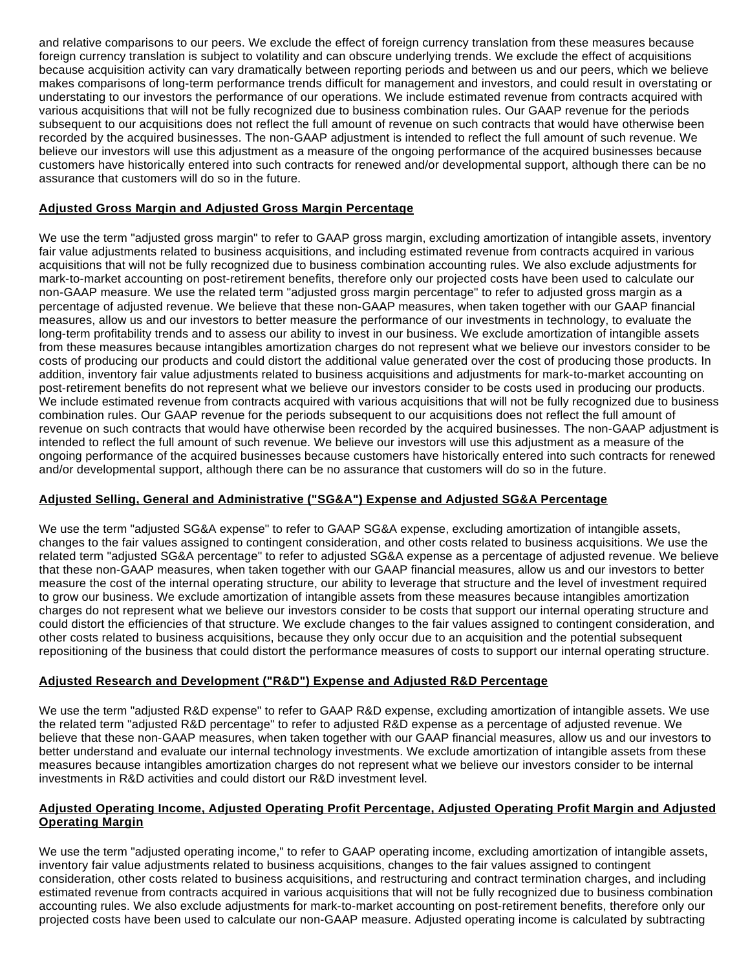and relative comparisons to our peers. We exclude the effect of foreign currency translation from these measures because foreign currency translation is subject to volatility and can obscure underlying trends. We exclude the effect of acquisitions because acquisition activity can vary dramatically between reporting periods and between us and our peers, which we believe makes comparisons of long-term performance trends difficult for management and investors, and could result in overstating or understating to our investors the performance of our operations. We include estimated revenue from contracts acquired with various acquisitions that will not be fully recognized due to business combination rules. Our GAAP revenue for the periods subsequent to our acquisitions does not reflect the full amount of revenue on such contracts that would have otherwise been recorded by the acquired businesses. The non-GAAP adjustment is intended to reflect the full amount of such revenue. We believe our investors will use this adjustment as a measure of the ongoing performance of the acquired businesses because customers have historically entered into such contracts for renewed and/or developmental support, although there can be no assurance that customers will do so in the future.

# **Adjusted Gross Margin and Adjusted Gross Margin Percentage**

We use the term "adjusted gross margin" to refer to GAAP gross margin, excluding amortization of intangible assets, inventory fair value adjustments related to business acquisitions, and including estimated revenue from contracts acquired in various acquisitions that will not be fully recognized due to business combination accounting rules. We also exclude adjustments for mark-to-market accounting on post-retirement benefits, therefore only our projected costs have been used to calculate our non-GAAP measure. We use the related term "adjusted gross margin percentage" to refer to adjusted gross margin as a percentage of adjusted revenue. We believe that these non-GAAP measures, when taken together with our GAAP financial measures, allow us and our investors to better measure the performance of our investments in technology, to evaluate the long-term profitability trends and to assess our ability to invest in our business. We exclude amortization of intangible assets from these measures because intangibles amortization charges do not represent what we believe our investors consider to be costs of producing our products and could distort the additional value generated over the cost of producing those products. In addition, inventory fair value adjustments related to business acquisitions and adjustments for mark-to-market accounting on post-retirement benefits do not represent what we believe our investors consider to be costs used in producing our products. We include estimated revenue from contracts acquired with various acquisitions that will not be fully recognized due to business combination rules. Our GAAP revenue for the periods subsequent to our acquisitions does not reflect the full amount of revenue on such contracts that would have otherwise been recorded by the acquired businesses. The non-GAAP adjustment is intended to reflect the full amount of such revenue. We believe our investors will use this adjustment as a measure of the ongoing performance of the acquired businesses because customers have historically entered into such contracts for renewed and/or developmental support, although there can be no assurance that customers will do so in the future.

# **Adjusted Selling, General and Administrative ("SG&A") Expense and Adjusted SG&A Percentage**

We use the term "adjusted SG&A expense" to refer to GAAP SG&A expense, excluding amortization of intangible assets, changes to the fair values assigned to contingent consideration, and other costs related to business acquisitions. We use the related term "adjusted SG&A percentage" to refer to adjusted SG&A expense as a percentage of adjusted revenue. We believe that these non-GAAP measures, when taken together with our GAAP financial measures, allow us and our investors to better measure the cost of the internal operating structure, our ability to leverage that structure and the level of investment required to grow our business. We exclude amortization of intangible assets from these measures because intangibles amortization charges do not represent what we believe our investors consider to be costs that support our internal operating structure and could distort the efficiencies of that structure. We exclude changes to the fair values assigned to contingent consideration, and other costs related to business acquisitions, because they only occur due to an acquisition and the potential subsequent repositioning of the business that could distort the performance measures of costs to support our internal operating structure.

# **Adjusted Research and Development ("R&D") Expense and Adjusted R&D Percentage**

We use the term "adjusted R&D expense" to refer to GAAP R&D expense, excluding amortization of intangible assets. We use the related term "adjusted R&D percentage" to refer to adjusted R&D expense as a percentage of adjusted revenue. We believe that these non-GAAP measures, when taken together with our GAAP financial measures, allow us and our investors to better understand and evaluate our internal technology investments. We exclude amortization of intangible assets from these measures because intangibles amortization charges do not represent what we believe our investors consider to be internal investments in R&D activities and could distort our R&D investment level.

## **Adjusted Operating Income, Adjusted Operating Profit Percentage, Adjusted Operating Profit Margin and Adjusted Operating Margin**

We use the term "adjusted operating income," to refer to GAAP operating income, excluding amortization of intangible assets, inventory fair value adjustments related to business acquisitions, changes to the fair values assigned to contingent consideration, other costs related to business acquisitions, and restructuring and contract termination charges, and including estimated revenue from contracts acquired in various acquisitions that will not be fully recognized due to business combination accounting rules. We also exclude adjustments for mark-to-market accounting on post-retirement benefits, therefore only our projected costs have been used to calculate our non-GAAP measure. Adjusted operating income is calculated by subtracting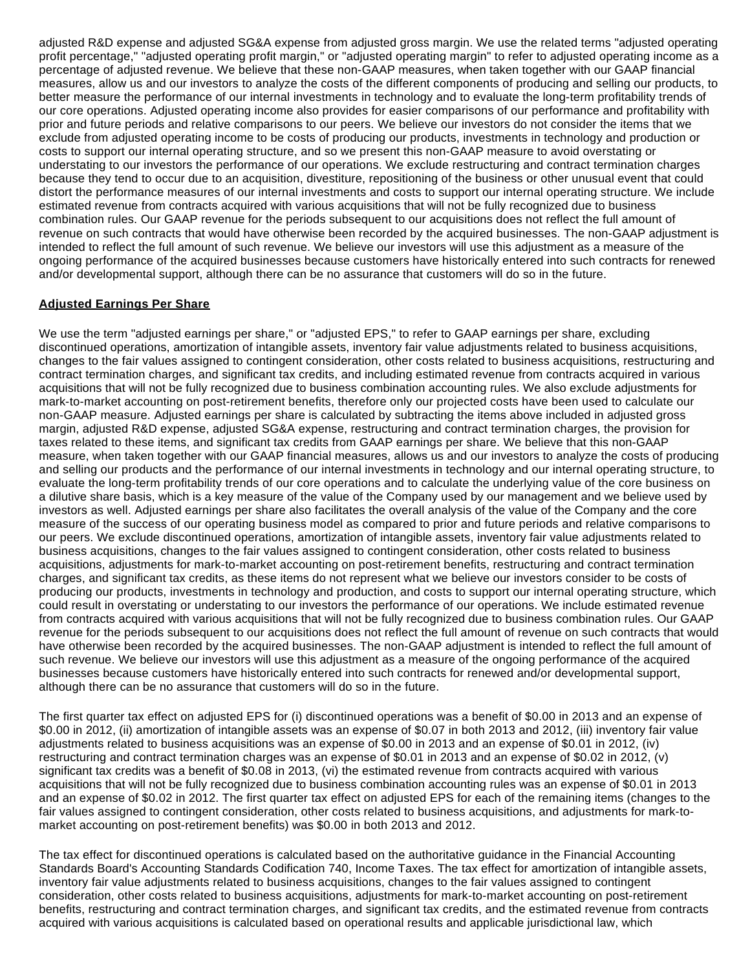adjusted R&D expense and adjusted SG&A expense from adjusted gross margin. We use the related terms "adjusted operating profit percentage," "adjusted operating profit margin," or "adjusted operating margin" to refer to adjusted operating income as a percentage of adjusted revenue. We believe that these non-GAAP measures, when taken together with our GAAP financial measures, allow us and our investors to analyze the costs of the different components of producing and selling our products, to better measure the performance of our internal investments in technology and to evaluate the long-term profitability trends of our core operations. Adjusted operating income also provides for easier comparisons of our performance and profitability with prior and future periods and relative comparisons to our peers. We believe our investors do not consider the items that we exclude from adjusted operating income to be costs of producing our products, investments in technology and production or costs to support our internal operating structure, and so we present this non-GAAP measure to avoid overstating or understating to our investors the performance of our operations. We exclude restructuring and contract termination charges because they tend to occur due to an acquisition, divestiture, repositioning of the business or other unusual event that could distort the performance measures of our internal investments and costs to support our internal operating structure. We include estimated revenue from contracts acquired with various acquisitions that will not be fully recognized due to business combination rules. Our GAAP revenue for the periods subsequent to our acquisitions does not reflect the full amount of revenue on such contracts that would have otherwise been recorded by the acquired businesses. The non-GAAP adjustment is intended to reflect the full amount of such revenue. We believe our investors will use this adjustment as a measure of the ongoing performance of the acquired businesses because customers have historically entered into such contracts for renewed and/or developmental support, although there can be no assurance that customers will do so in the future.

# **Adjusted Earnings Per Share**

We use the term "adjusted earnings per share," or "adjusted EPS," to refer to GAAP earnings per share, excluding discontinued operations, amortization of intangible assets, inventory fair value adjustments related to business acquisitions, changes to the fair values assigned to contingent consideration, other costs related to business acquisitions, restructuring and contract termination charges, and significant tax credits, and including estimated revenue from contracts acquired in various acquisitions that will not be fully recognized due to business combination accounting rules. We also exclude adjustments for mark-to-market accounting on post-retirement benefits, therefore only our projected costs have been used to calculate our non-GAAP measure. Adjusted earnings per share is calculated by subtracting the items above included in adjusted gross margin, adjusted R&D expense, adjusted SG&A expense, restructuring and contract termination charges, the provision for taxes related to these items, and significant tax credits from GAAP earnings per share. We believe that this non-GAAP measure, when taken together with our GAAP financial measures, allows us and our investors to analyze the costs of producing and selling our products and the performance of our internal investments in technology and our internal operating structure, to evaluate the long-term profitability trends of our core operations and to calculate the underlying value of the core business on a dilutive share basis, which is a key measure of the value of the Company used by our management and we believe used by investors as well. Adjusted earnings per share also facilitates the overall analysis of the value of the Company and the core measure of the success of our operating business model as compared to prior and future periods and relative comparisons to our peers. We exclude discontinued operations, amortization of intangible assets, inventory fair value adjustments related to business acquisitions, changes to the fair values assigned to contingent consideration, other costs related to business acquisitions, adjustments for mark-to-market accounting on post-retirement benefits, restructuring and contract termination charges, and significant tax credits, as these items do not represent what we believe our investors consider to be costs of producing our products, investments in technology and production, and costs to support our internal operating structure, which could result in overstating or understating to our investors the performance of our operations. We include estimated revenue from contracts acquired with various acquisitions that will not be fully recognized due to business combination rules. Our GAAP revenue for the periods subsequent to our acquisitions does not reflect the full amount of revenue on such contracts that would have otherwise been recorded by the acquired businesses. The non-GAAP adjustment is intended to reflect the full amount of such revenue. We believe our investors will use this adjustment as a measure of the ongoing performance of the acquired businesses because customers have historically entered into such contracts for renewed and/or developmental support, although there can be no assurance that customers will do so in the future.

The first quarter tax effect on adjusted EPS for (i) discontinued operations was a benefit of \$0.00 in 2013 and an expense of \$0.00 in 2012, (ii) amortization of intangible assets was an expense of \$0.07 in both 2013 and 2012, (iii) inventory fair value adjustments related to business acquisitions was an expense of \$0.00 in 2013 and an expense of \$0.01 in 2012, (iv) restructuring and contract termination charges was an expense of \$0.01 in 2013 and an expense of \$0.02 in 2012, (v) significant tax credits was a benefit of \$0.08 in 2013, (vi) the estimated revenue from contracts acquired with various acquisitions that will not be fully recognized due to business combination accounting rules was an expense of \$0.01 in 2013 and an expense of \$0.02 in 2012. The first quarter tax effect on adjusted EPS for each of the remaining items (changes to the fair values assigned to contingent consideration, other costs related to business acquisitions, and adjustments for mark-tomarket accounting on post-retirement benefits) was \$0.00 in both 2013 and 2012.

The tax effect for discontinued operations is calculated based on the authoritative guidance in the Financial Accounting Standards Board's Accounting Standards Codification 740, Income Taxes. The tax effect for amortization of intangible assets, inventory fair value adjustments related to business acquisitions, changes to the fair values assigned to contingent consideration, other costs related to business acquisitions, adjustments for mark-to-market accounting on post-retirement benefits, restructuring and contract termination charges, and significant tax credits, and the estimated revenue from contracts acquired with various acquisitions is calculated based on operational results and applicable jurisdictional law, which